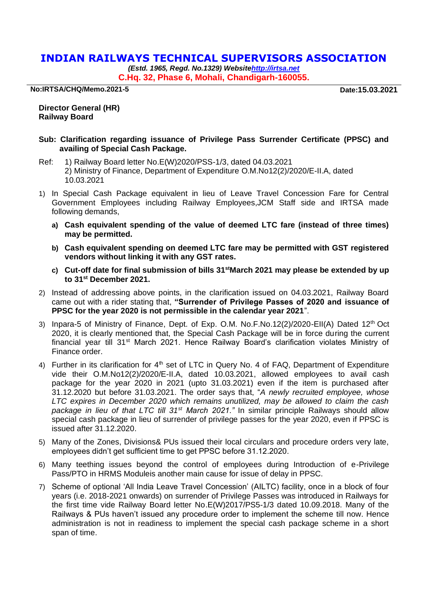## **INDIAN RAILWAYS TECHNICAL SUPERVISORS ASSOCIATION**

*(Estd. 1965, Regd. No.1329) Websit[ehttp://irtsa.net](http://irtsa.net/)* **C.Hq. 32, Phase 6, Mohali, Chandigarh-160055.**

**No:IRTSA/CHQ/Memo.2021-5 Date:15.03.2021**

**Director General (HR) Railway Board**

## **Sub: Clarification regarding issuance of Privilege Pass Surrender Certificate (PPSC) and availing of Special Cash Package.**

- Ref: 1) Railway Board letter No.E(W)2020/PSS-1/3, dated 04.03.2021 2) Ministry of Finance, Department of Expenditure O.M.No12(2)/2020/E-II.A, dated 10.03.2021
- 1) In Special Cash Package equivalent in lieu of Leave Travel Concession Fare for Central Government Employees including Railway Employees,JCM Staff side and IRTSA made following demands,
	- **a) Cash equivalent spending of the value of deemed LTC fare (instead of three times) may be permitted.**
	- **b) Cash equivalent spending on deemed LTC fare may be permitted with GST registered vendors without linking it with any GST rates.**
	- **c) Cut-off date for final submission of bills 31stMarch 2021 may please be extended by up to 31st December 2021.**
- 2) Instead of addressing above points, in the clarification issued on 04.03.2021, Railway Board came out with a rider stating that, **"Surrender of Privilege Passes of 2020 and issuance of PPSC for the year 2020 is not permissible in the calendar year 2021**".
- 3) Inpara-5 of Ministry of Finance, Dept. of Exp. O.M. No.F.No.12(2)/2020-EII(A) Dated 12<sup>th</sup> Oct 2020, it is clearly mentioned that, the Special Cash Package will be in force during the current financial year till 31st March 2021. Hence Railway Board's clarification violates Ministry of Finance order.
- 4) Further in its clarification for 4<sup>th</sup> set of LTC in Query No. 4 of FAQ, Department of Expenditure vide their O.M.No12(2)/2020/E-II.A, dated 10.03.2021, allowed employees to avail cash package for the year 2020 in 2021 (upto 31.03.2021) even if the item is purchased after 31.12.2020 but before 31.03.2021. The order says that, "*A newly recruited employee, whose LTC expires in December 2020 which remains unutilized, may be allowed to claim the cash package in lieu of that LTC till 31st March 2021."* In similar principle Railways should allow special cash package in lieu of surrender of privilege passes for the year 2020, even if PPSC is issued after 31.12.2020.
- 5) Many of the Zones, Divisions& PUs issued their local circulars and procedure orders very late, employees didn't get sufficient time to get PPSC before 31.12.2020.
- 6) Many teething issues beyond the control of employees during Introduction of e-Privilege Pass/PTO in HRMS Moduleis another main cause for issue of delay in PPSC.
- 7) Scheme of optional 'All India Leave Travel Concession' (AILTC) facility, once in a block of four years (i.e. 2018-2021 onwards) on surrender of Privilege Passes was introduced in Railways for the first time vide Railway Board letter No.E(W)2017/PS5-1/3 dated 10.09.2018. Many of the Railways & PUs haven't issued any procedure order to implement the scheme till now. Hence administration is not in readiness to implement the special cash package scheme in a short span of time.